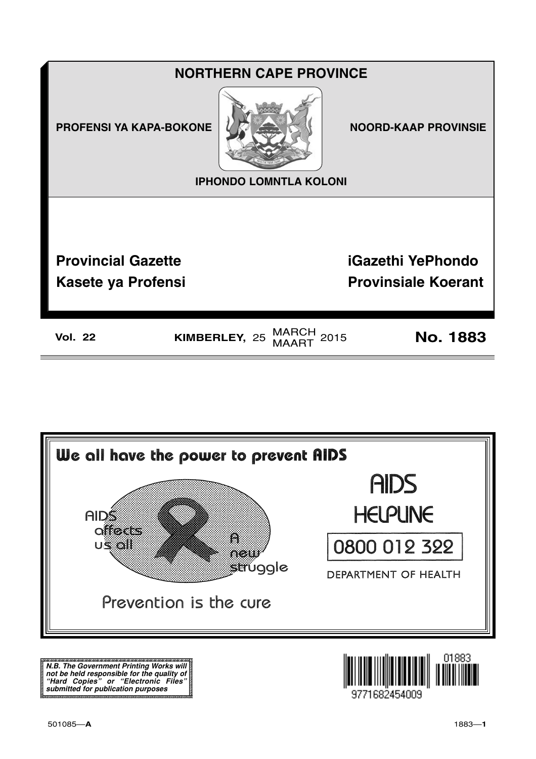



N.B. The Government Printing Works will iv.b. The Government Printing works will<br>not be held responsible for the quality of<br>"Hard" Copies" or "Electronic Files"<br>submitted for publication purposes

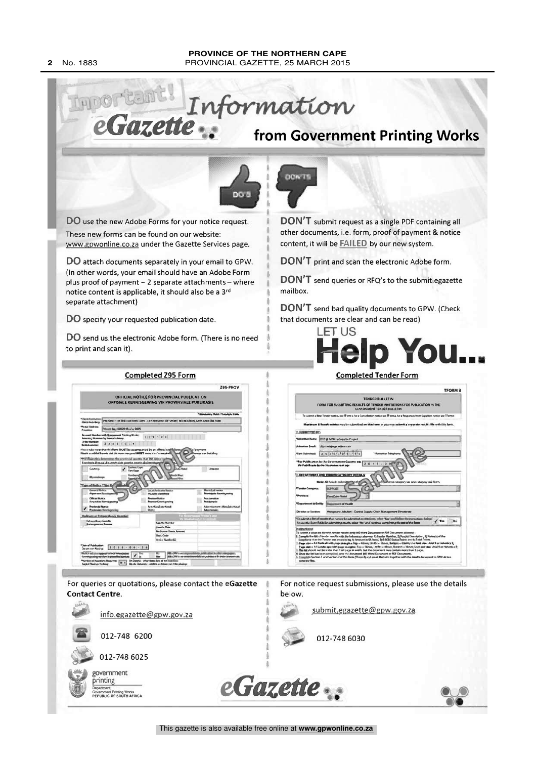#### PROVINCE OF THE NORTHERN CAPE PROVINCIAL GAZETTE, 25 MARCH 2015

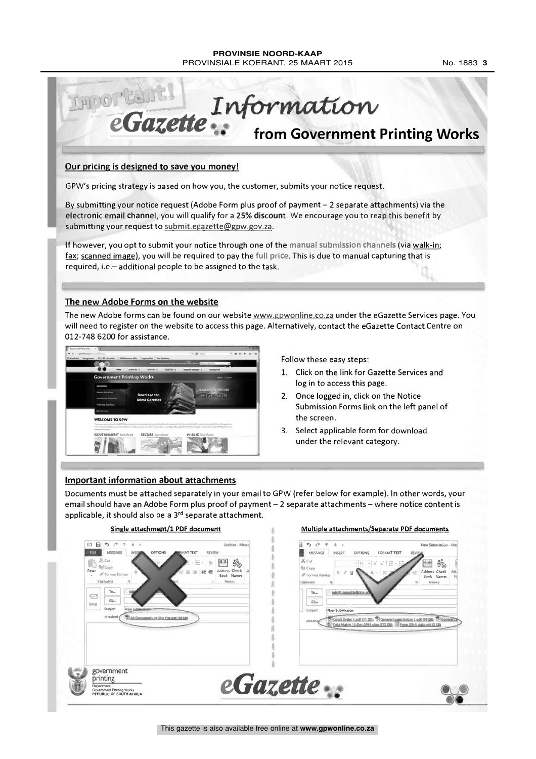THIOT CAN'S Gazette Information from Government Printing Works Our pricing is designed to save you money! GPW's pricing strategy is based on how you, the customer, submits your notice request.

By submitting your notice request (Adobe Form plus proof of payment - 2 separate attachments) via the electronic email channel, you will qualify for a 25% discount. We encourage you to reap this benefit by submitting your request to submit.egazette@gpw.gov.za.

If however, you opt to submit your notice through one of the manual submission channels (via walk-in; fax; scanned image), you will be required to pay the full price. This is due to manual capturing that is required, i.e.-additional people to be assigned to the task.

# The new Adobe Forms on the website

The new Adobe forms can be found on our website www.gpwonline.co.za under the eGazette Services page. You will need to register on the website to access this page. Alternatively, contact the eGazette Contact Centre on 012-748 6200 for assistance.



Follow these easy steps:

- 1. Click on the link for Gazette Services and log in to access this page.
- 2. Once logged in, click on the Notice Submission Forms link on the left panel of the screen.
- 3. Select applicable form for download under the relevant category.

### **Important information about attachments**

Documents must be attached separately in your email to GPW (refer below for example). In other words, your email should have an Adobe Form plus proof of payment - 2 separate attachments - where notice content is applicable, it should also be a 3rd separate attachment.



#### No. 1883 3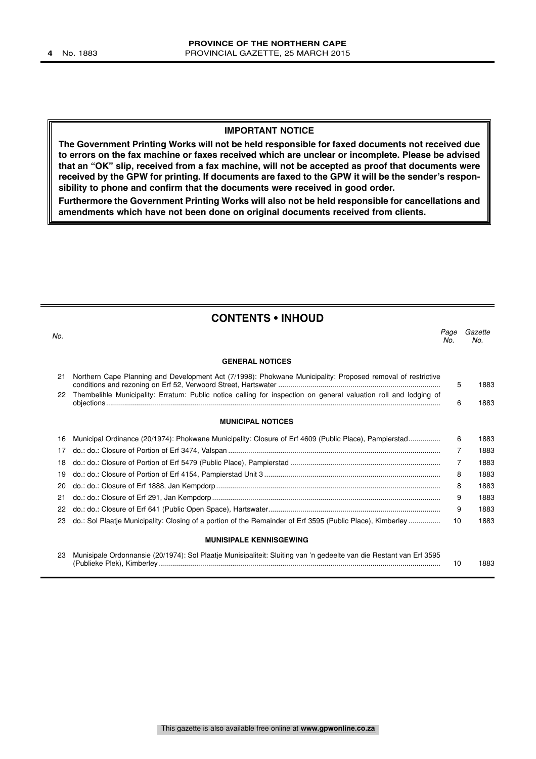#### **IMPORTANT NOTICE**

**The Government Printing Works will not be held responsible for faxed documents not received due to errors on the fax machine or faxes received which are unclear or incomplete. Please be advised that an "OK" slip, received from a fax machine, will not be accepted as proof that documents were received by the GPW for printing. If documents are faxed to the GPW it will be the sender's responsibility to phone and confirm that the documents were received in good order.**

**Furthermore the Government Printing Works will also not be held responsible for cancellations and amendments which have not been done on original documents received from clients.**

| <b>CONTENTS • INHOUD</b> |                                                                                                                     |             |                |  |
|--------------------------|---------------------------------------------------------------------------------------------------------------------|-------------|----------------|--|
| No.                      |                                                                                                                     | Page<br>No. | Gazette<br>No. |  |
|                          | <b>GENERAL NOTICES</b>                                                                                              |             |                |  |
| 21                       | Northern Cape Planning and Development Act (7/1998): Phokwane Municipality: Proposed removal of restrictive         | 5           | 1883           |  |
| 22                       | Thembelihle Municipality: Erratum: Public notice calling for inspection on general valuation roll and lodging of    | 6           | 1883           |  |
|                          | <b>MUNICIPAL NOTICES</b>                                                                                            |             |                |  |
| 16                       | Municipal Ordinance (20/1974): Phokwane Municipality: Closure of Erf 4609 (Public Place), Pampierstad               | 6           | 1883           |  |
| 17                       |                                                                                                                     | 7           | 1883           |  |
| 18                       |                                                                                                                     | 7           | 1883           |  |
| 19                       |                                                                                                                     | 8           | 1883           |  |
| 20                       |                                                                                                                     | 8           | 1883           |  |
| 21                       |                                                                                                                     | 9           | 1883           |  |
| 22                       |                                                                                                                     | 9           | 1883           |  |
| 23                       | do.: Sol Plaatje Municipality: Closing of a portion of the Remainder of Erf 3595 (Public Place), Kimberley          | 10          | 1883           |  |
|                          | <b>MUNISIPALE KENNISGEWING</b>                                                                                      |             |                |  |
| 23                       | Munisipale Ordonnansie (20/1974): Sol Plaatje Munisipaliteit: Sluiting van 'n gedeelte van die Restant van Erf 3595 | 10          | 1883           |  |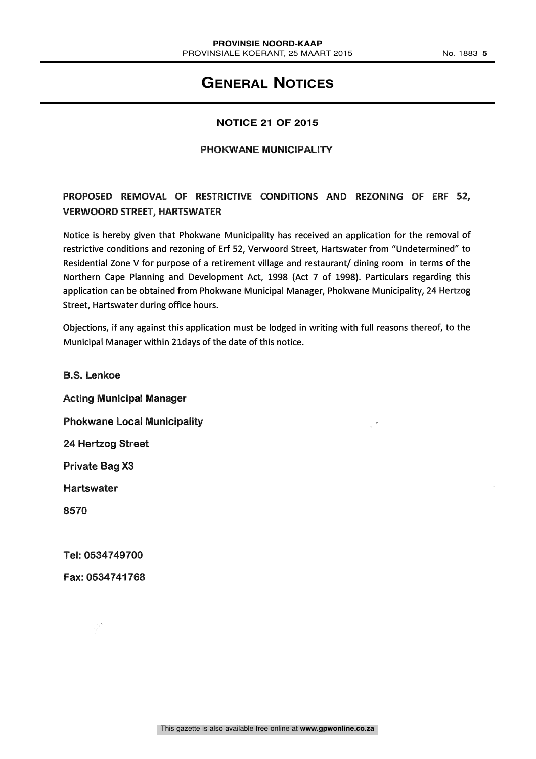# **GENERAL NOTICES**

# **NOTICE 21 OF 2015**

#### PHOKWANE MUNICIPALITY

# PROPOSED REMOVAL OF RESTRICTIVE CONDITIONS AND REZONING OF ERF 52, VERWOORD STREET, HARTSWATER

Notice is hereby given that Phokwane Municipality has received an application for the removal of restrictive conditions and rezoning of Erf 52, Verwoord Street, Hartswater from "Undetermined" to Residential Zone V for purpose of a retirement village and restaurant/ dining room in terms of the Northern Cape Planning and Development Act, 1998 (Act 7 of 1998). Particulars regarding this application can be obtained from Phokwane Municipal Manager, Phokwane Municipality, 24 Hertzog Street, Hartswater during office hours.

Objections, if any against this application must be lodged in writing with full reasons thereof, to the Municipal Manager within 2ldays of the date of this notice.

B.S. Lenkoe Acting Municipal Manager Phokwane Local Municipality 24 Hertzog Street Private Bag X3 Hartswater 8570

Tel: 0534749700

Fax: 0534741768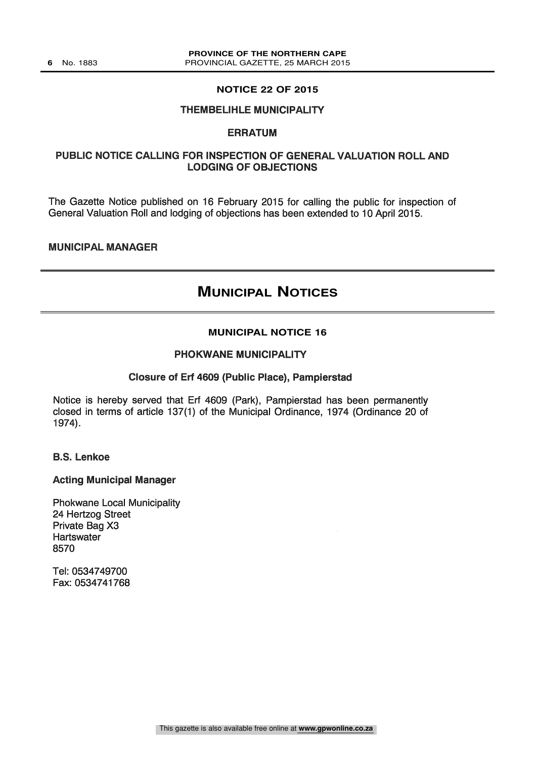#### **NOTICE 22 OF 2015**

#### THEMBELIHLE MUNICIPALITY

#### ERRATUM

# PUBLIC NOTICE CALLING FOR INSPECTION OF GENERAL VALUATION ROLL AND LODGING OF OBJECTIONS

The Gazette Notice published on 16 February 2015 for calling the public for inspection of General Valuation Roll and lodging of objections has been extended to 10 April 2015.

MUNICIPAL MANAGER

# **MUNICIPAL NOTICES**

# **MUNICIPAL NOTICE 16**

#### PHOKWANE MUNICIPALITY

#### Closure of Erf 4609 (Public Place), Pampierstad

Notice is hereby served that Erf 4609 (Park), Pampierstad has been permanently closed in terms of article 137(1) of the Municipal Ordinance, 1974 (Ordinance 20 of 1974).

B.S. Lenkoe

#### Acting Municipal Manager

Phokwane Local Municipality 24 Hertzog Street Private Bag X3 **Hartswater** 8570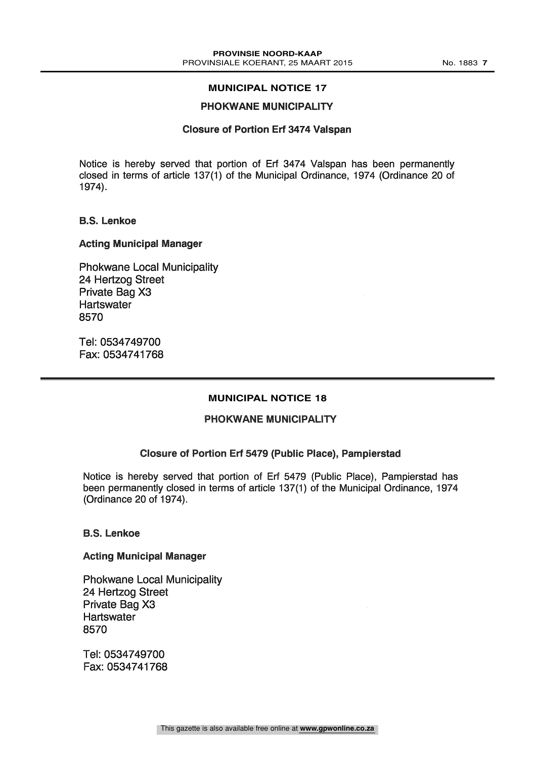# PHOKWANE MUNICIPALITY

#### Closure of Portion Erf 3474 Valspan

Notice is hereby served that portion of Err 3474 Valspan has been permanently closed in terms of article 137(1) of the Municipal Ordinance, 1974 (Ordinance 20 of 1974).

#### B.S. Lenkoe

#### Acting Municipal Manager

Phokwane Local Municipality 24 Hertzog Street Private Bag X3 **Hartswater** 8570

Tel: 0534749700 Fax: 0534741768

#### **MUNICIPAL NOTICE 18**

# PHOKWANE MUNICIPALITY

### Closure of Portion Erf 5479 (Public Place), Pampierstad

Notice is hereby served that portion of Erf 5479 (Public Place), Pampierstad has been permanently closed in terms of article 137(1) of the Municipal Ordinance, 1974 (Ordinance 20 of 1974).

#### B.S. Lenkoe

#### Acting Municipal Manager

Phokwane Local Municipality 24 Hertzog Street Private Bag X3 **Hartswater** 8570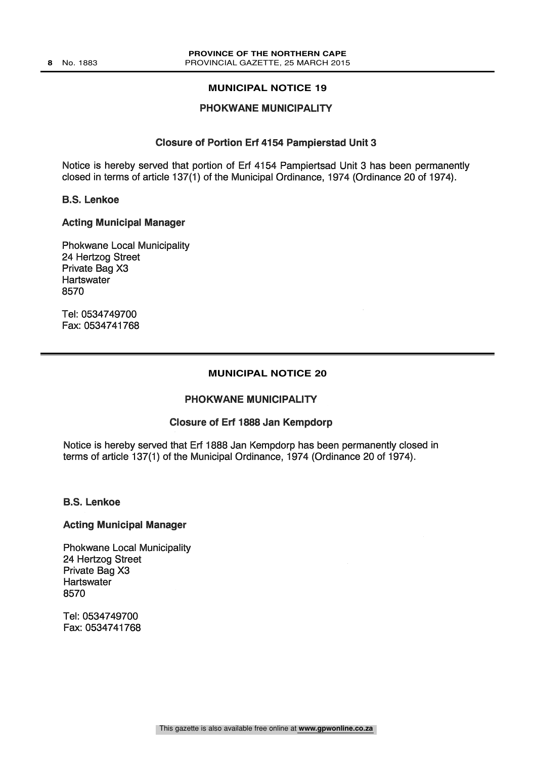#### PHOKWANE MUNICIPALITY

#### Closure of Portion Erf 4154 Pampierstad Unit 3

Notice is hereby served that portion of Erf 4154 Pampiertsad Unit 3 has been permanently closed in terms of article 137(1) of the Municipal Ordinance, 1974 (Ordinance 20 of 1974).

#### B.S. Lenkoe

#### Acting Municipal Manager

Phokwane Local Municipality 24 Hertzog Street Private Bag X3 **Hartswater** 8570

Tel: 0534749700 Fax: 0534741768

#### **MUNICIPAL NOTICE 20**

#### PHOKWANE MUNICIPALITY

#### Closure of Erf 1888 Jan Kempdorp

Notice is hereby served that Erf 1888 Jan Kempdorp has been permanently closed in terms of article 137(1) of the Municipal Ordinance, 1974 (Ordinance 20 of 1974).

#### B.S. Lenkoe

#### Acting Municipal Manager

Phokwane Local Municipality 24 Hertzog Street Private Bag X3 **Hartswater** 8570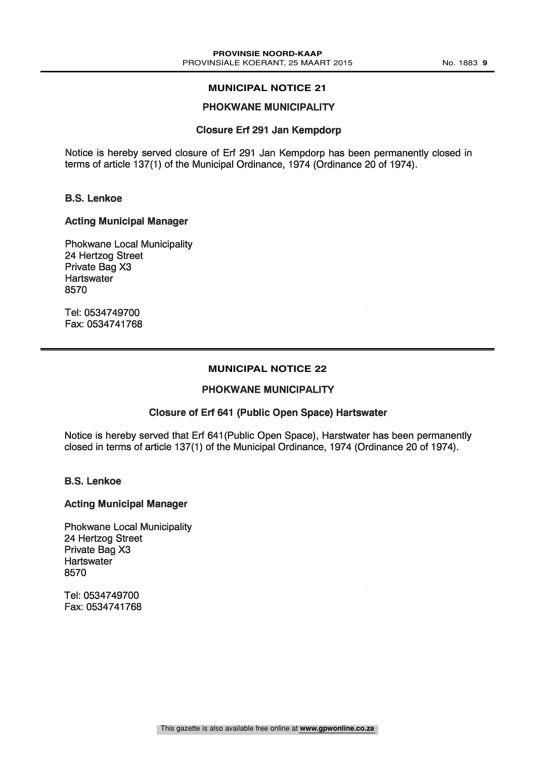# PHOKWANE MUNICIPALITY

#### Closure Erf 291 Jan Kempdorp

Notice is hereby served closure of Erf 291 Jan Kempdorp has been permanently closed in terms of article 137(1) of the Municipal Ordinance, 1974 (Ordinance 20 of 1974).

### B.S. Lenkoe

#### Acting Municipal Manager

Phokwane Local Municipality 24 Hertzog Street Private Bag X3 **Hartswater** 8570

Tel: 0534749700 Fax: 0534741768

#### **MUNICIPAL NOTICE 22**

#### PHOKWANE MUNICIPALITY

### Closure of Erf 641 (Public Open Space) Hartswater

Notice is hereby served that Erf 641(Public Open Space), Harstwater has been permanently closed in terms of article 137(1) of the Municipal Ordinance, 1974 (Ordinance 20 of 1974).

B.S. Lenkoe

#### Acting Municipal Manager

Phokwane Local Municipality 24 Hertzog Street Private Bag X3 Hartswater 8570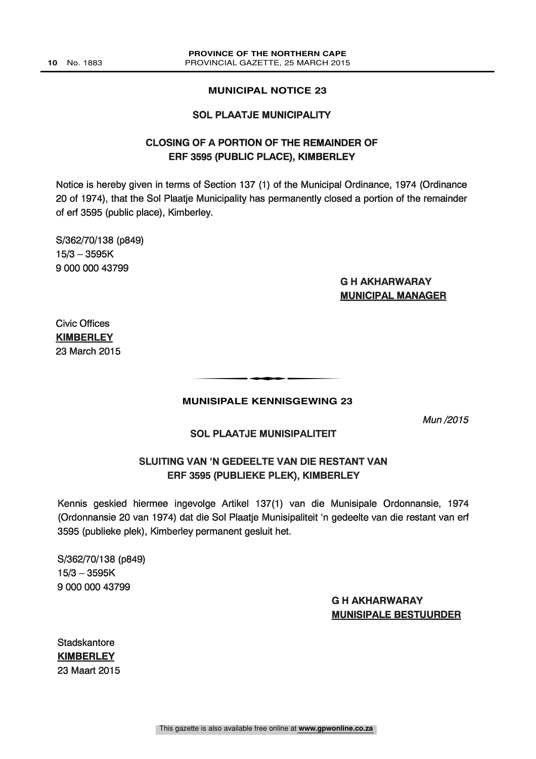#### SOL PLAATJE MUNICIPALITY

# CLOSING OF A PORTION OF THE REMAINDER OF ERF 3595 (PUBLIC PLACE), KIMBERLEY

Notice is hereby given in terms of Section 137 (1) of the Municipal Ordinance, 1974 (Ordinance 20 of 1974), that the Sol Plaatje Municipality has permanently closed a portion of the remainder of erf 3595 (public place), Kimberley.

S/362/70/138 (p849)  $15/3 - 3595K$ 9 000 000 43799

# G H AKHARWARAY MUNICIPAL MANAGER

Civic Offices **KIMBERLEY** 23 March 2015

# **MUNISIPALE KENNISGEWING 23**

t

Mun /2015

#### SOL PLAATJE MUNISIPALITEIT

# SLUITING VAN 'N GEDEELTE VAN DIE RESTANT VAN ERF 3595 (PUBLIEKE PLEK), KIMBERLEY

Kennis geskied hiermee ingevolge Artikel 137(1) van die Munisipale Ordonnansie, 1974 (Ordonnansie 20 van 1974) dat die Sol Plaatje Munisipaliteit 'n gedeelte van die restant van erf 3595 (publieke plek), Kimberley permanent gesluit het.

S/362/70/138 (p849)  $15/3 - 3595K$ 9 000 000 43799

# G H AKHARWARAY MUNISIPALE BESTUURDER

**Stadskantore KIMBERLEY** 23 Maart 2015